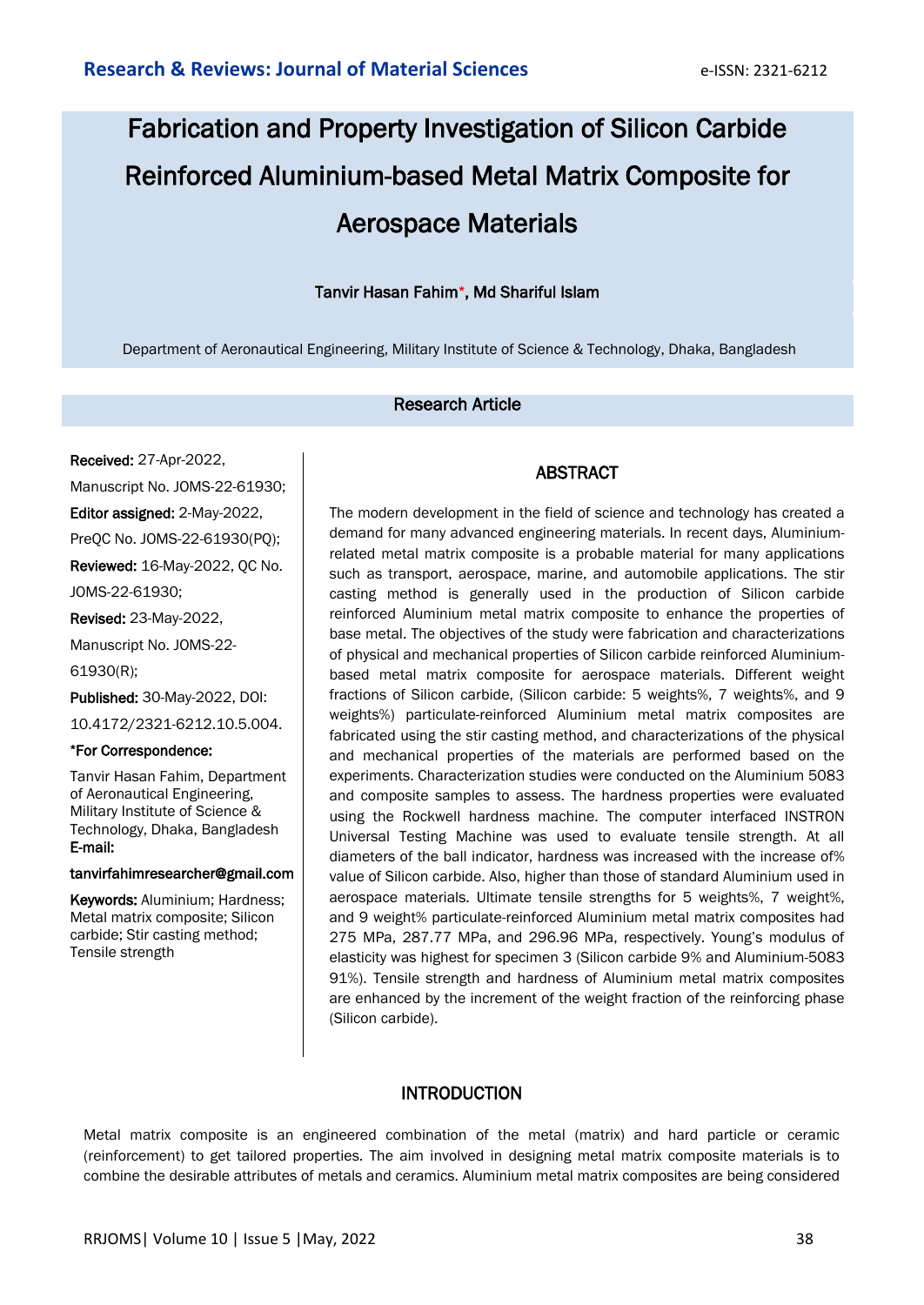# Fabrication and Property Investigation of Silicon Carbide Reinforced Aluminium-based Metal Matrix Composite for Aerospace Materials

# Tanvir Hasan Fahim\*, Md Shariful Islam

Department of Aeronautical Engineering, Military Institute of Science & Technology, Dhaka, Bangladesh

#### Research Article

Received: 27-Apr-2022, Manuscript No. JOMS-22-61930; Editor assigned: 2-May-2022, PreQC No. JOMS-22-61930(PQ); Reviewed: 16-May-2022, QC No. JOMS-22-61930; Revised: 23-May-2022, Manuscript No. JOMS-22- 61930(R);

Published: 30-May-2022, DOI: 10.4172/2321-6212.10.5.004.

#### \*For Correspondence:

Tanvir Hasan Fahim, Department of Aeronautical Engineering, Military Institute of Science & Technology, Dhaka, Bangladesh E-mail:

#### tanvirfahimresearcher@gmail.com

Keywords: Aluminium; Hardness; Metal matrix composite; Silicon carbide; Stir casting method; Tensile strength

# ABSTRACT

The modern development in the field of science and technology has created a demand for many advanced engineering materials. In recent days, Aluminiumrelated metal matrix composite is a probable material for many applications such as transport, aerospace, marine, and automobile applications. The stir casting method is generally used in the production of Silicon carbide reinforced Aluminium metal matrix composite to enhance the properties of base metal. The objectives of the study were fabrication and characterizations of physical and mechanical properties of Silicon carbide reinforced Aluminiumbased metal matrix composite for aerospace materials. Different weight fractions of Silicon carbide, (Silicon carbide: 5 weights%, 7 weights%, and 9 weights%) particulate-reinforced Aluminium metal matrix composites are fabricated using the stir casting method, and characterizations of the physical and mechanical properties of the materials are performed based on the experiments. Characterization studies were conducted on the Aluminium 5083 and composite samples to assess. The hardness properties were evaluated using the Rockwell hardness machine. The computer interfaced INSTRON Universal Testing Machine was used to evaluate tensile strength. At all diameters of the ball indicator, hardness was increased with the increase of% value of Silicon carbide. Also, higher than those of standard Aluminium used in aerospace materials. Ultimate tensile strengths for 5 weights%, 7 weight%, and 9 weight% particulate-reinforced Aluminium metal matrix composites had 275 MPa, 287.77 MPa, and 296.96 MPa, respectively. Young's modulus of elasticity was highest for specimen 3 (Silicon carbide 9% and Aluminium-5083 91%). Tensile strength and hardness of Aluminium metal matrix composites are enhanced by the increment of the weight fraction of the reinforcing phase (Silicon carbide).

# **INTRODUCTION**

Metal matrix composite is an engineered combination of the metal (matrix) and hard particle or ceramic (reinforcement) to get tailored properties. The aim involved in designing metal matrix composite materials is to combine the desirable attributes of metals and ceramics. Aluminium metal matrix composites are being considered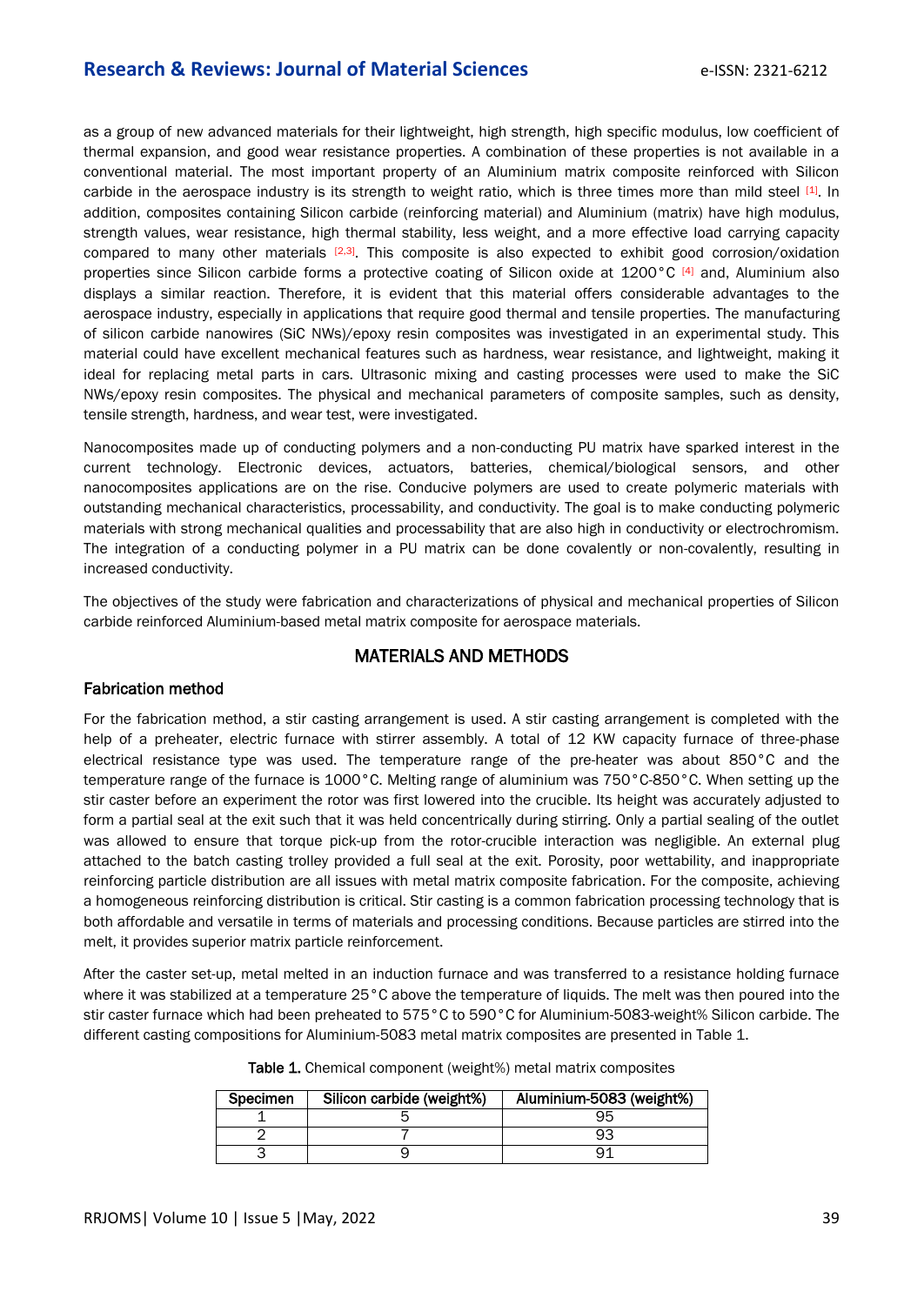# **Research & Reviews: Journal of Material Sciences Example 2018** e-ISSN: 2321-6212

as a group of new advanced materials for their lightweight, high strength, high specific modulus, low coefficient of thermal expansion, and good wear resistance properties. A combination of these properties is not available in a conventional material. The most important property of an Aluminium matrix composite reinforced with Silicon carbide in the aerospace industry is its strength to weight ratio, which is three times more than mild steel [1]. In addition, composites containing Silicon carbide (reinforcing material) and Aluminium (matrix) have high modulus, strength values, wear resistance, high thermal stability, less weight, and a more effective load carrying capacity compared to many other materials <sup>[2,3]</sup>. This composite is also expected to exhibit good corrosion/oxidation properties since Silicon carbide forms a protective coating of Silicon oxide at 1200°C [4] and, Aluminium also displays a similar reaction. Therefore, it is evident that this material offers considerable advantages to the aerospace industry, especially in applications that require good thermal and tensile properties. The manufacturing of silicon carbide nanowires (SiC NWs)/epoxy resin composites was investigated in an experimental study. This material could have excellent mechanical features such as hardness, wear resistance, and lightweight, making it ideal for replacing metal parts in cars. Ultrasonic mixing and casting processes were used to make the SiC NWs/epoxy resin composites. The physical and mechanical parameters of composite samples, such as density, tensile strength, hardness, and wear test, were investigated.

Nanocomposites made up of conducting polymers and a non-conducting PU matrix have sparked interest in the current technology. Electronic devices, actuators, batteries, chemical/biological sensors, and other nanocomposites applications are on the rise. Conducive polymers are used to create polymeric materials with outstanding mechanical characteristics, processability, and conductivity. The goal is to make conducting polymeric materials with strong mechanical qualities and processability that are also high in conductivity or electrochromism. The integration of a conducting polymer in a PU matrix can be done covalently or non-covalently, resulting in increased conductivity.

The objectives of the study were fabrication and characterizations of physical and mechanical properties of Silicon carbide reinforced Aluminium-based metal matrix composite for aerospace materials.

# MATERIALS AND METHODS

#### Fabrication method

For the fabrication method, a stir casting arrangement is used. A stir casting arrangement is completed with the help of a preheater, electric furnace with stirrer assembly. A total of 12 KW capacity furnace of three-phase electrical resistance type was used. The temperature range of the pre-heater was about 850°C and the temperature range of the furnace is 1000°C. Melting range of aluminium was 750°C-850°C. When setting up the stir caster before an experiment the rotor was first lowered into the crucible. Its height was accurately adjusted to form a partial seal at the exit such that it was held concentrically during stirring. Only a partial sealing of the outlet was allowed to ensure that torque pick-up from the rotor-crucible interaction was negligible. An external plug attached to the batch casting trolley provided a full seal at the exit. Porosity, poor wettability, and inappropriate reinforcing particle distribution are all issues with metal matrix composite fabrication. For the composite, achieving a homogeneous reinforcing distribution is critical. Stir casting is a common fabrication processing technology that is both affordable and versatile in terms of materials and processing conditions. Because particles are stirred into the melt, it provides superior matrix particle reinforcement.

After the caster set-up, metal melted in an induction furnace and was transferred to a resistance holding furnace where it was stabilized at a temperature 25°C above the temperature of liquids. The melt was then poured into the stir caster furnace which had been preheated to 575°C to 590°C for Aluminium-5083-weight% Silicon carbide. The different casting compositions for Aluminium-5083 metal matrix composites are presented in Table 1.

| <b>Specimen</b> | Silicon carbide (weight%) | Aluminium-5083 (weight%) |  |
|-----------------|---------------------------|--------------------------|--|
|                 |                           |                          |  |
|                 |                           |                          |  |
|                 |                           |                          |  |

| Table 1. Chemical component (weight%) metal matrix composites |  |
|---------------------------------------------------------------|--|
|                                                               |  |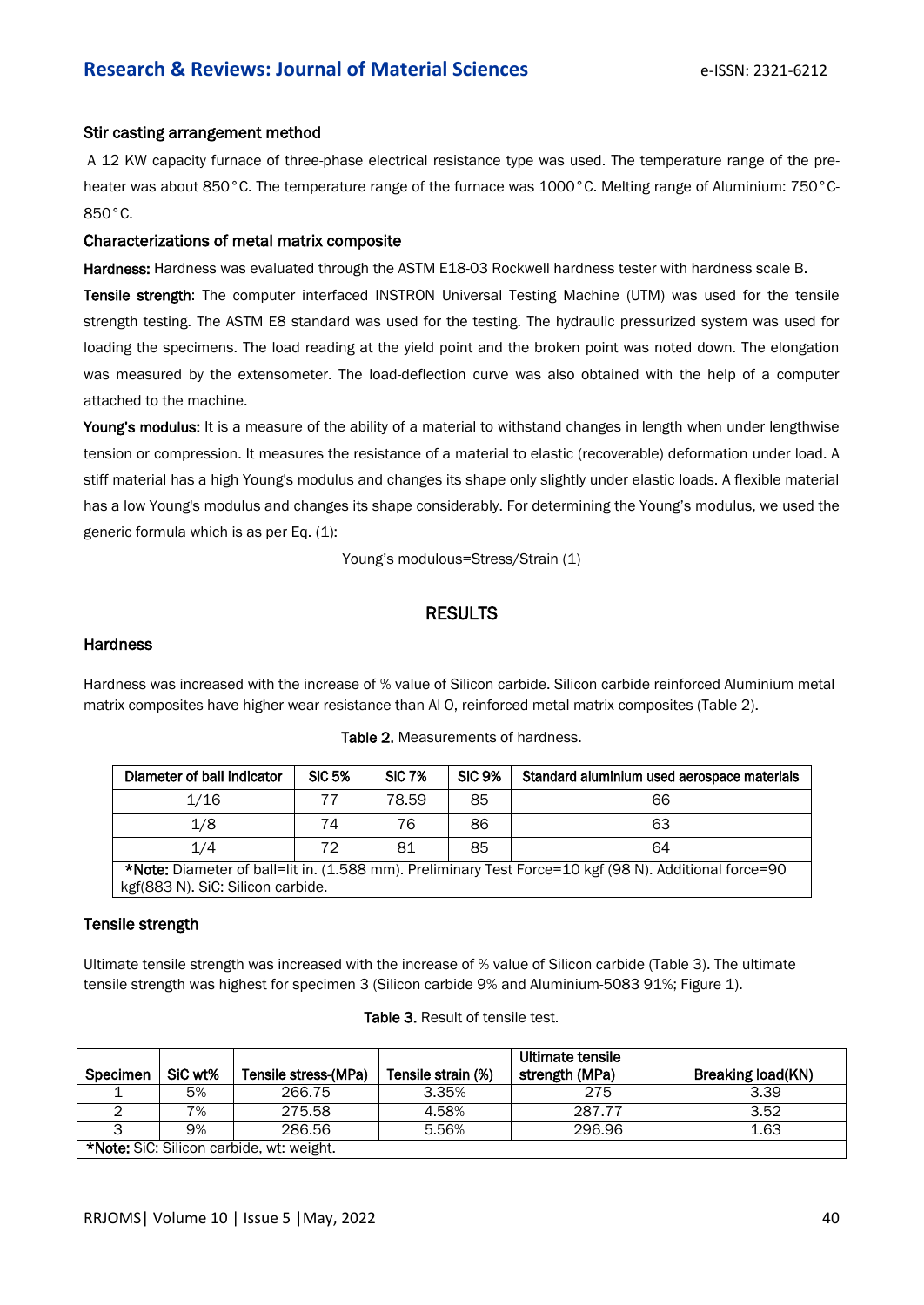#### Stir casting arrangement method

A 12 KW capacity furnace of three-phase electrical resistance type was used. The temperature range of the preheater was about 850°C. The temperature range of the furnace was 1000°C. Melting range of Aluminium: 750°C-850°C.

#### Characterizations of metal matrix composite

Hardness: Hardness was evaluated through the ASTM E18-03 Rockwell hardness tester with hardness scale B.

Tensile strength: The computer interfaced INSTRON Universal Testing Machine (UTM) was used for the tensile strength testing. The ASTM E8 standard was used for the testing. The hydraulic pressurized system was used for loading the specimens. The load reading at the yield point and the broken point was noted down. The elongation was measured by the extensometer. The load-deflection curve was also obtained with the help of a computer attached to the machine.

Young's modulus: It is a measure of the ability of a material to withstand changes in length when under lengthwise tension or compression. It measures the resistance of a material to elastic (recoverable) deformation under load. A stiff material has a high Young's modulus and changes its shape only slightly under elastic loads. A flexible material has a low Young's modulus and changes its shape considerably. For determining the Young's modulus, we used the generic formula which is as per Eq. (1):

Young's modulous=Stress/Strain (1)

# RESULTS

#### **Hardness**

Hardness was increased with the increase of % value of Silicon carbide. Silicon carbide reinforced Aluminium metal matrix composites have higher wear resistance than Al O, reinforced metal matrix composites (Table 2).

| Diameter of ball indicator                                                                                   | <b>SiC 5%</b> | <b>SiC 7%</b> | <b>SiC 9%</b> | Standard aluminium used aerospace materials |  |  |  |
|--------------------------------------------------------------------------------------------------------------|---------------|---------------|---------------|---------------------------------------------|--|--|--|
| 1/16                                                                                                         |               | 78.59         | 85            | 66                                          |  |  |  |
| 1/8                                                                                                          | 74            | 76            | 86            | 63                                          |  |  |  |
| 1/4                                                                                                          | 72            | 81            | 85            | 64                                          |  |  |  |
| <b>*Note:</b> Diameter of ball=lit in. (1.588 mm). Preliminary Test Force=10 kgf (98 N). Additional force=90 |               |               |               |                                             |  |  |  |
| kgf(883 N). SiC: Silicon carbide.                                                                            |               |               |               |                                             |  |  |  |

#### Table 2. Measurements of hardness.

#### Tensile strength

Ultimate tensile strength was increased with the increase of % value of Silicon carbide (Table 3). The ultimate tensile strength was highest for specimen 3 (Silicon carbide 9% and Aluminium-5083 91%; Figure 1).

|                                          |         |                      |                    | Ultimate tensile |                   |
|------------------------------------------|---------|----------------------|--------------------|------------------|-------------------|
| Specimen                                 | SiC wt% | Tensile stress-(MPa) | Tensile strain (%) | strength (MPa)   | Breaking load(KN) |
|                                          | 5%      | 266.75               | 3.35%              | 275              | 3.39              |
|                                          | 7%      | 275.58               | 4.58%              | 287.77           | 3.52              |
|                                          | 9%      | 286.56               | 5.56%              | 296.96           | 1.63              |
| *Note: SiC: Silicon carbide, wt: weight. |         |                      |                    |                  |                   |

#### Table 3. Result of tensile test.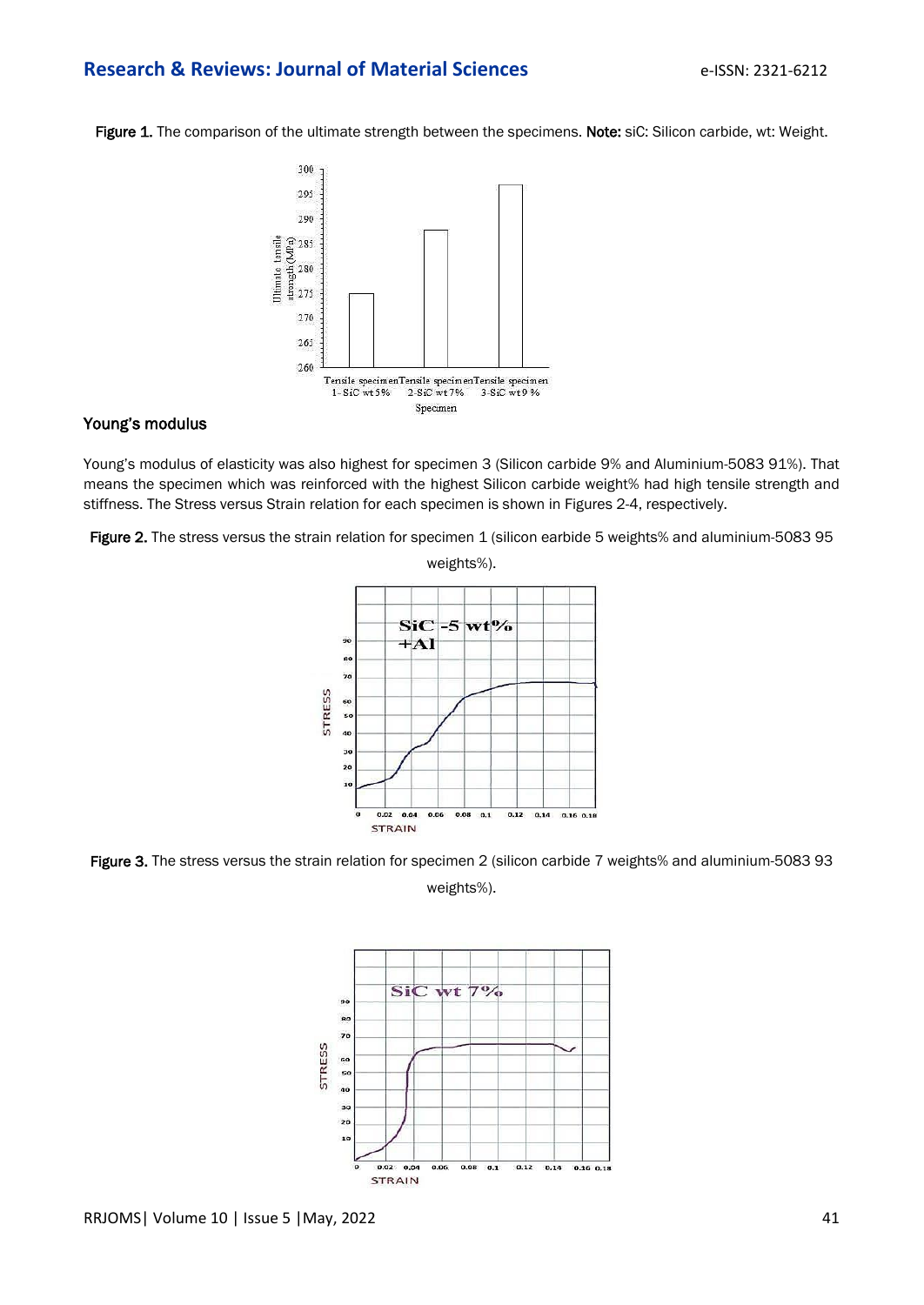# **Research & Reviews: Journal of Material Sciences Example 1880: 2321-6212**

Figure 1. The comparison of the ultimate strength between the specimens. Note: siC: Silicon carbide, wt: Weight.



### Young's modulus

Young's modulus of elasticity was also highest for specimen 3 (Silicon carbide 9% and Aluminium-5083 91%). That means the specimen which was reinforced with the highest Silicon carbide weight% had high tensile strength and stiffness. The Stress versus Strain relation for each specimen is shown in Figures 2-4, respectively.

Figure 2. The stress versus the strain relation for specimen 1 (silicon earbide 5 weights% and aluminium-5083 95



Figure 3. The stress versus the strain relation for specimen 2 (silicon carbide 7 weights% and aluminium-5083 93 weights%).

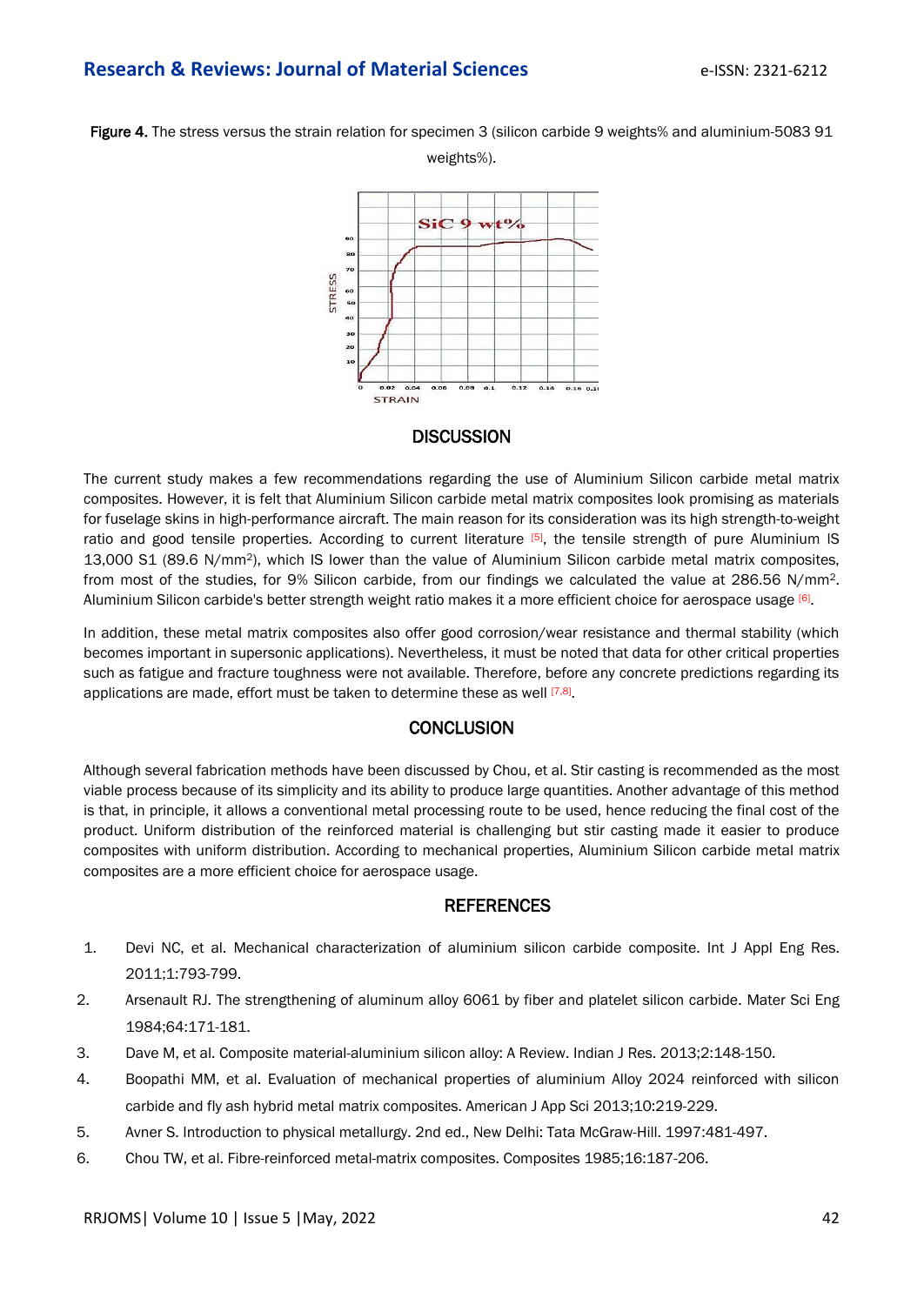# **Research & Reviews: Journal of Material Sciences Example 1880: 2321-6212**







# **DISCUSSION**

The current study makes a few recommendations regarding the use of Aluminium Silicon carbide metal matrix composites. However, it is felt that Aluminium Silicon carbide metal matrix composites look promising as materials for fuselage skins in high-performance aircraft. The main reason for its consideration was its high strength-to-weight ratio and good tensile properties. According to current literature [5], the tensile strength of pure Aluminium IS 13,000 S1 (89.6 N/mm2), which IS lower than the value of Aluminium Silicon carbide metal matrix composites, from most of the studies, for 9% Silicon carbide, from our findings we calculated the value at 286.56 N/mm2. Aluminium Silicon carbide's better strength weight ratio makes it a more efficient choice for aerospace usage <sup>[6]</sup>.

In addition, these metal matrix composites also offer good corrosion/wear resistance and thermal stability (which becomes important in supersonic applications). Nevertheless, it must be noted that data for other critical properties such as fatigue and fracture toughness were not available. Therefore, before any concrete predictions regarding its applications are made, effort must be taken to determine these as well <a>[7,8]</a>.

#### **CONCLUSION**

Although several fabrication methods have been discussed by Chou, et al. Stir casting is recommended as the most viable process because of its simplicity and its ability to produce large quantities. Another advantage of this method is that, in principle, it allows a conventional metal processing route to be used, hence reducing the final cost of the product. Uniform distribution of the reinforced material is challenging but stir casting made it easier to produce composites with uniform distribution. According to mechanical properties, Aluminium Silicon carbide metal matrix composites are a more efficient choice for aerospace usage.

#### **REFERENCES**

- 1. Devi NC, et al. Mechanical characterization of aluminium silicon carbide composite. Int J Appl Eng Res. 2011;1:793-799.
- 2. Arsenault RJ. The strengthening of aluminum alloy 6061 by fiber and platelet silicon carbide. Mater Sci Eng 1984;64:171-181.
- 3. Dave M, et al. Composite material-aluminium silicon alloy: A Review. Indian J Res. 2013;2:148-150.
- 4. Boopathi MM, et al. [Evaluation of mechanical properties of aluminium Alloy 2024 reinforced with silicon](https://d1wqtxts1xzle7.cloudfront.net/50585481/ajassp.2013.219.229-with-cover-page-v2.pdf?Expires=1651840619&Signature=b2HHUohot0QMm5irLQvEo~cJQwobkQnI3hV61aX1t4KLq5opotd5e4mWX5D5uZew0wVxyQySpylbnWX8arMqwwAMmNsHhdcww77vvaxT4e93t~WRk3s9AUHxj-~rwL~KgwN~delUiHj7-hqiU1~VUItPeHkpzV0ZoTdMns3LyS4WUgq1b37pcEyg4AvewR~W17AZwuBT~IODdnKursBDOOBpvJXGROkdfHPZHegC4-eZ4IIlSxCt5vzKqDarhRhhOMA6AxYZ1CV8Hv7AesHw0FeslfXKS69cFxQx5wwNquP6C3D2681eGNQLhEi~6bBolp8mShJlBYTEnPk7KDcaPA__&Key-Pair-Id=APKAJLOHF5GGSLRBV4ZA)  [carbide and fly ash hybrid metal matrix composites.](https://d1wqtxts1xzle7.cloudfront.net/50585481/ajassp.2013.219.229-with-cover-page-v2.pdf?Expires=1651840619&Signature=b2HHUohot0QMm5irLQvEo~cJQwobkQnI3hV61aX1t4KLq5opotd5e4mWX5D5uZew0wVxyQySpylbnWX8arMqwwAMmNsHhdcww77vvaxT4e93t~WRk3s9AUHxj-~rwL~KgwN~delUiHj7-hqiU1~VUItPeHkpzV0ZoTdMns3LyS4WUgq1b37pcEyg4AvewR~W17AZwuBT~IODdnKursBDOOBpvJXGROkdfHPZHegC4-eZ4IIlSxCt5vzKqDarhRhhOMA6AxYZ1CV8Hv7AesHw0FeslfXKS69cFxQx5wwNquP6C3D2681eGNQLhEi~6bBolp8mShJlBYTEnPk7KDcaPA__&Key-Pair-Id=APKAJLOHF5GGSLRBV4ZA) American J App Sci 2013;10:219-229.
- 5. Avner S. [Introduction to physical metallurgy.](https://sku.ac.ir/Datafiles/BookLibrary/46/Introduction%20to%20Physical%20Metallurgy%20(1974).pdf) 2nd ed., New Delhi: Tata McGraw-Hill. 1997:481-497.
- 6. Chou TW, et al. Fibre-reinforced metal-matrix composites. Composites 1985;16:187-206.